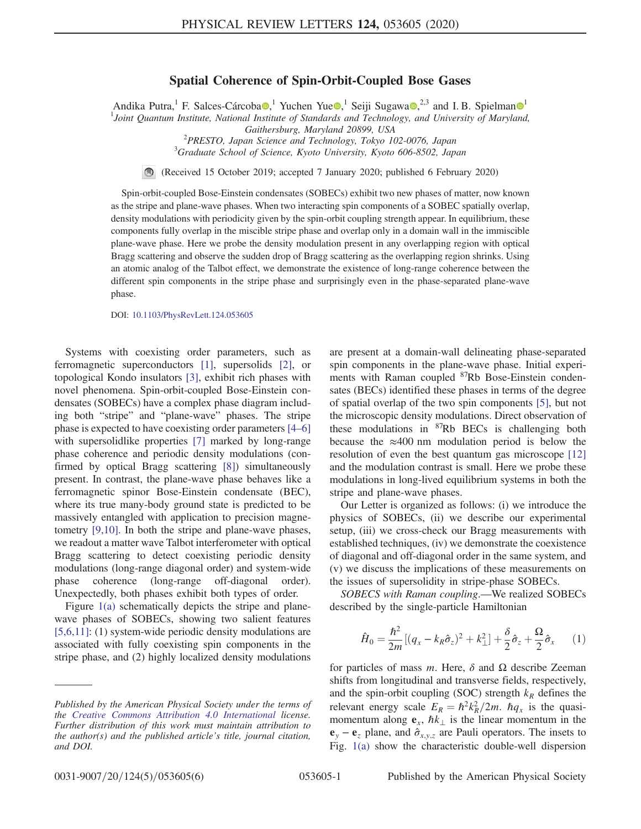## Spatial Coherence of Spin-Orbit-Coupled Bose Gases

Andika Putra,<sup>[1](https://orcid.org/0000-0003-1421-8652)</sup> F. Salces-Cárcoba<sup>(1)</sup>, Yuchen Yue <sup>1</sup>, Seiji Sugawa<sup>(1)</sup>, <sup>2,3</sup> and I. B. Spielman<sup>(1)</sup>

<sup>1</sup>Joint Quantum Institute, National Institute of Standards and Technology, and University of Maryland,

Gaithersburg, Maryland 20899, USA<br><sup>2</sup> PRESTO, Japan Science and Technology, Tolyo 10

 $P$ RESTO, Japan Science and Technology, Tokyo 102-0076, Japan<br>3Cuaduate School of Science, Kuata University, Kuata 606,8503, Japan  ${}^{3}$ Graduate School of Science, Kyoto University, Kyoto 606-8502, Japan

(Received 15 October 2019; accepted 7 January 2020; published 6 February 2020)

Spin-orbit-coupled Bose-Einstein condensates (SOBECs) exhibit two new phases of matter, now known as the stripe and plane-wave phases. When two interacting spin components of a SOBEC spatially overlap, density modulations with periodicity given by the spin-orbit coupling strength appear. In equilibrium, these components fully overlap in the miscible stripe phase and overlap only in a domain wall in the immiscible plane-wave phase. Here we probe the density modulation present in any overlapping region with optical Bragg scattering and observe the sudden drop of Bragg scattering as the overlapping region shrinks. Using an atomic analog of the Talbot effect, we demonstrate the existence of long-range coherence between the different spin components in the stripe phase and surprisingly even in the phase-separated plane-wave phase.

DOI: [10.1103/PhysRevLett.124.053605](https://doi.org/10.1103/PhysRevLett.124.053605)

Systems with coexisting order parameters, such as ferromagnetic superconductors [\[1\],](#page-4-0) supersolids [\[2\],](#page-4-1) or topological Kondo insulators [\[3\],](#page-4-2) exhibit rich phases with novel phenomena. Spin-orbit-coupled Bose-Einstein condensates (SOBECs) have a complex phase diagram including both "stripe" and "plane-wave" phases. The stripe phase is expected to have coexisting order parameters [4–[6\]](#page-4-3) with supersolidlike properties [\[7\]](#page-4-4) marked by long-range phase coherence and periodic density modulations (confirmed by optical Bragg scattering [\[8\]\)](#page-4-5) simultaneously present. In contrast, the plane-wave phase behaves like a ferromagnetic spinor Bose-Einstein condensate (BEC), where its true many-body ground state is predicted to be massively entangled with application to precision magnetometry [\[9,10\].](#page-4-6) In both the stripe and plane-wave phases, we readout a matter wave Talbot interferometer with optical Bragg scattering to detect coexisting periodic density modulations (long-range diagonal order) and system-wide phase coherence (long-range off-diagonal order). Unexpectedly, both phases exhibit both types of order.

Figure [1\(a\)](#page-1-0) schematically depicts the stripe and planewave phases of SOBECs, showing two salient features [\[5,6,11\]:](#page-4-7) (1) system-wide periodic density modulations are associated with fully coexisting spin components in the stripe phase, and (2) highly localized density modulations are present at a domain-wall delineating phase-separated spin components in the plane-wave phase. Initial experiments with Raman coupled <sup>87</sup>Rb Bose-Einstein condensates (BECs) identified these phases in terms of the degree of spatial overlap of the two spin components [\[5\]](#page-4-7), but not the microscopic density modulations. Direct observation of these modulations in <sup>87</sup>Rb BECs is challenging both because the  $\approx 400$  nm modulation period is below the resolution of even the best quantum gas microscope [\[12\]](#page-4-8) and the modulation contrast is small. Here we probe these modulations in long-lived equilibrium systems in both the stripe and plane-wave phases.

Our Letter is organized as follows: (i) we introduce the physics of SOBECs, (ii) we describe our experimental setup, (iii) we cross-check our Bragg measurements with established techniques, (iv) we demonstrate the coexistence of diagonal and off-diagonal order in the same system, and (v) we discuss the implications of these measurements on the issues of supersolidity in stripe-phase SOBECs.

SOBECS with Raman coupling.—We realized SOBECs described by the single-particle Hamiltonian

$$
\hat{H}_0 = \frac{\hbar^2}{2m} [(q_x - k_R \hat{\sigma}_z)^2 + k_\perp^2] + \frac{\delta}{2} \hat{\sigma}_z + \frac{\Omega}{2} \hat{\sigma}_x \qquad (1)
$$

for particles of mass m. Here,  $\delta$  and  $\Omega$  describe Zeeman shifts from longitudinal and transverse fields, respectively, and the spin-orbit coupling (SOC) strength  $k_R$  defines the relevant energy scale  $E_R = \hbar^2 k_R^2 / 2m$ .  $\hbar q_x$  is the quasimomentum along  $e_x$ ,  $\hbar k_{\perp}$  is the linear momentum in the  $\mathbf{e}_{y} - \mathbf{e}_{z}$  plane, and  $\hat{\sigma}_{x,y,z}$  are Pauli operators. The insets to Fig. [1\(a\)](#page-1-0) show the characteristic double-well dispersion

Published by the American Physical Society under the terms of the [Creative Commons Attribution 4.0 International](https://creativecommons.org/licenses/by/4.0/) license. Further distribution of this work must maintain attribution to the author(s) and the published article's title, journal citation, and DOI.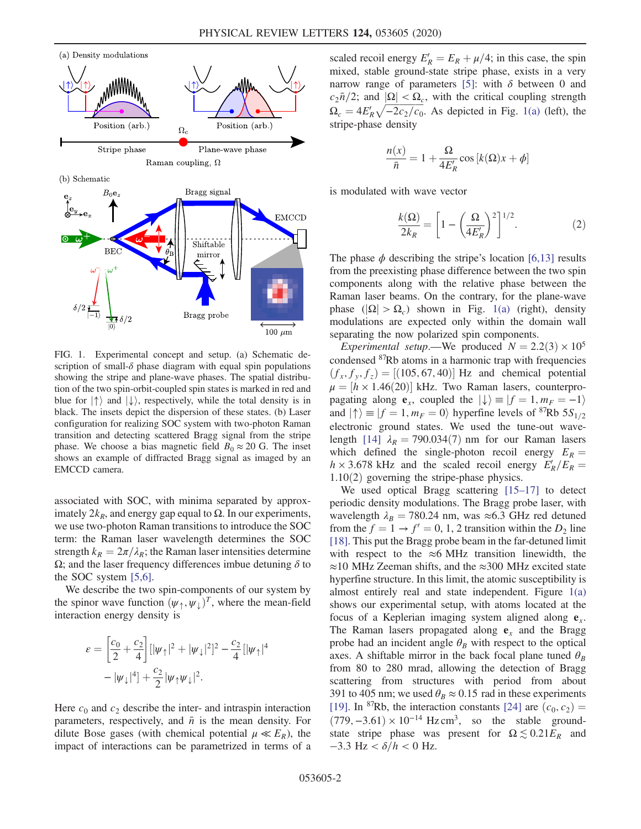<span id="page-1-0"></span>

FIG. 1. Experimental concept and setup. (a) Schematic description of small- $\delta$  phase diagram with equal spin populations showing the stripe and plane-wave phases. The spatial distribution of the two spin-orbit-coupled spin states is marked in red and blue for  $\ket{\uparrow}$  and  $\ket{\downarrow}$ , respectively, while the total density is in black. The insets depict the dispersion of these states. (b) Laser configuration for realizing SOC system with two-photon Raman transition and detecting scattered Bragg signal from the stripe phase. We choose a bias magnetic field  $B_0 \approx 20$  G. The inset shows an example of diffracted Bragg signal as imaged by an EMCCD camera.

associated with SOC, with minima separated by approximately  $2k_B$ , and energy gap equal to  $\Omega$ . In our experiments, we use two-photon Raman transitions to introduce the SOC term: the Raman laser wavelength determines the SOC strength  $k_R = 2\pi/\lambda_R$ ; the Raman laser intensities determine  $Ω$ ; and the laser frequency differences imbue detuning  $δ$  to the SOC system [\[5,6\].](#page-4-7)

We describe the two spin-components of our system by the spinor wave function  $(\psi_{\uparrow}, \psi_{\downarrow})^T$ , where the mean-field interaction energy density is

$$
\varepsilon = \left[\frac{c_0}{2} + \frac{c_2}{4}\right] [|\psi_{\uparrow}|^2 + |\psi_{\downarrow}|^2]^2 - \frac{c_2}{4} [|\psi_{\uparrow}|^4 - |\psi_{\downarrow}|^4] + \frac{c_2}{2} |\psi_{\uparrow}\psi_{\downarrow}|^2.
$$

Here  $c_0$  and  $c_2$  describe the inter- and intraspin interaction parameters, respectively, and  $\bar{n}$  is the mean density. For dilute Bose gases (with chemical potential  $\mu \ll E_R$ ), the impact of interactions can be parametrized in terms of a

scaled recoil energy  $E'_R = E_R + \mu/4$ ; in this case, the spin mixed, stable ground-state stripe phase, exists in a very narrow range of parameters [\[5\]:](#page-4-7) with  $\delta$  between 0 and  $c_2\bar{n}/2$ ; and  $|\Omega| < \Omega_c$ , with the critical coupling strength  $\Omega_c = 4E'_R\sqrt{-2c_2/c_0}$ . As depicted in Fig. [1\(a\)](#page-1-0) (left), the stripe-phase density

$$
\frac{n(x)}{\bar{n}} = 1 + \frac{\Omega}{4E'_R} \cos[k(\Omega)x + \phi]
$$

<span id="page-1-1"></span>is modulated with wave vector

$$
\frac{k(\Omega)}{2k_R} = \left[1 - \left(\frac{\Omega}{4E'_R}\right)^2\right]^{1/2}.\tag{2}
$$

The phase  $\phi$  describing the stripe's location [\[6,13\]](#page-4-9) results from the preexisting phase difference between the two spin components along with the relative phase between the Raman laser beams. On the contrary, for the plane-wave phase  $(|\Omega| > \Omega_c)$  shown in Fig. [1\(a\)](#page-1-0) (right), density modulations are expected only within the domain wall separating the now polarized spin components.

Experimental setup.—We produced  $N = 2.2(3) \times 10^5$ condensed <sup>87</sup>Rb atoms in a harmonic trap with frequencies  $(f_x, f_y, f_z) = [(105, 67, 40)]$  Hz and chemical potential  $\mu = [h \times 1.46(20)]$  kHz. Two Raman lasers, counterpropagating along  $e_x$ , coupled the  $|\downarrow\rangle \equiv |f = 1, m_F = -1\rangle$ and  $|\uparrow\rangle \equiv |f = 1, m_F = 0\rangle$  hyperfine levels of <sup>87</sup>Rb 5S<sub>1/2</sub> electronic ground states. We used the tune-out wave-length [\[14\]](#page-4-10)  $\lambda_R = 790.034(7)$  nm for our Raman lasers which defined the single-photon recoil energy  $E_R =$  $h \times 3.678$  kHz and the scaled recoil energy  $E_R'/E_R =$  $1.10(2)$  governing the stripe-phase physics.

We used optical Bragg scattering [\[15](#page-4-11)–17] to detect periodic density modulations. The Bragg probe laser, with wavelength  $\lambda_B = 780.24$  nm, was ≈6.3 GHz red detuned from the  $f = 1 \rightarrow f' = 0, 1, 2$  transition within the  $D_2$  line [\[18\]](#page-4-12). This put the Bragg probe beam in the far-detuned limit with respect to the  $\approx$ 6 MHz transition linewidth, the ≈10 MHz Zeeman shifts, and the ≈300 MHz excited state hyperfine structure. In this limit, the atomic susceptibility is almost entirely real and state independent. Figure [1\(a\)](#page-1-0) shows our experimental setup, with atoms located at the focus of a Keplerian imaging system aligned along  $e_x$ . The Raman lasers propagated along  $e_x$  and the Bragg probe had an incident angle  $\theta_B$  with respect to the optical axes. A shiftable mirror in the back focal plane tuned  $\theta_B$ from 80 to 280 mrad, allowing the detection of Bragg scattering from structures with period from about 391 to 405 nm; we used  $\theta_B \approx 0.15$  rad in these experiments [\[19\]](#page-4-13). In <sup>87</sup>Rb, the interaction constants [\[24\]](#page-5-0) are  $(c_0, c_2)$  =  $(779, -3.61) \times 10^{-14}$  Hz cm<sup>3</sup>, so the stable groundstate stripe phase was present for  $\Omega \lesssim 0.21 E_R$  and  $-3.3$  Hz <  $\delta/h$  < 0 Hz.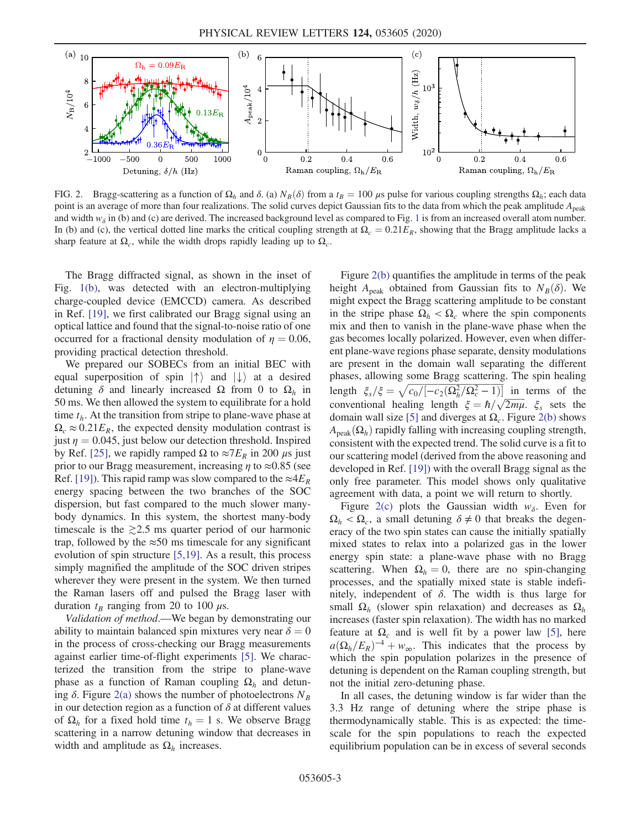<span id="page-2-0"></span>

FIG. 2. Bragg-scattering as a function of  $\Omega_h$  and  $\delta$ . (a)  $N_B(\delta)$  from a  $t_B = 100 \mu s$  pulse for various coupling strengths  $\Omega_h$ ; each data point is an average of more than four realizations. The solid curves depict Gaussian fits to the data from which the peak amplitude  $A_{peak}$ and width  $w_{\delta}$  in (b) and (c) are derived. The increased background level as compared to Fig. [1](#page-1-0) is from an increased overall atom number. In (b) and (c), the vertical dotted line marks the critical coupling strength at  $\Omega_c = 0.21E_R$ , showing that the Bragg amplitude lacks a sharp feature at  $\Omega_c$ , while the width drops rapidly leading up to  $\Omega_c$ .

The Bragg diffracted signal, as shown in the inset of Fig. [1\(b\)](#page-1-0), was detected with an electron-multiplying charge-coupled device (EMCCD) camera. As described in Ref. [\[19\],](#page-4-13) we first calibrated our Bragg signal using an optical lattice and found that the signal-to-noise ratio of one occurred for a fractional density modulation of  $\eta = 0.06$ , providing practical detection threshold.

We prepared our SOBECs from an initial BEC with equal superposition of spin  $|\uparrow\rangle$  and  $|\downarrow\rangle$  at a desired detuning  $\delta$  and linearly increased  $\Omega$  from 0 to  $\Omega_h$  in 50 ms. We then allowed the system to equilibrate for a hold time  $t<sub>h</sub>$ . At the transition from stripe to plane-wave phase at  $\Omega_c \approx 0.21 E_R$ , the expected density modulation contrast is just  $\eta = 0.045$ , just below our detection threshold. Inspired by Ref. [\[25\]](#page-5-1), we rapidly ramped Ω to  $\approx 7E_R$  in 200  $\mu$ s just prior to our Bragg measurement, increasing  $\eta$  to  $\approx 0.85$  (see Ref. [\[19\]](#page-4-13)). This rapid ramp was slow compared to the  $\approx 4E_R$ energy spacing between the two branches of the SOC dispersion, but fast compared to the much slower manybody dynamics. In this system, the shortest many-body timescale is the  $\ge 2.5$  ms quarter period of our harmonic trap, followed by the  $\approx 50$  ms timescale for any significant evolution of spin structure [\[5,19\].](#page-4-7) As a result, this process simply magnified the amplitude of the SOC driven stripes wherever they were present in the system. We then turned the Raman lasers off and pulsed the Bragg laser with duration  $t_B$  ranging from 20 to 100  $\mu$ s.

Validation of method.—We began by demonstrating our ability to maintain balanced spin mixtures very near  $\delta = 0$ in the process of cross-checking our Bragg measurements against earlier time-of-flight experiments [\[5\]](#page-4-7). We characterized the transition from the stripe to plane-wave phase as a function of Raman coupling  $\Omega_h$  and detuning  $\delta$ . Figure [2\(a\)](#page-2-0) shows the number of photoelectrons  $N_B$ in our detection region as a function of  $\delta$  at different values of  $\Omega_h$  for a fixed hold time  $t_h = 1$  s. We observe Bragg scattering in a narrow detuning window that decreases in width and amplitude as  $\Omega_h$  increases.

Figure [2\(b\)](#page-2-0) quantifies the amplitude in terms of the peak height A<sub>peak</sub> obtained from Gaussian fits to  $N_B(\delta)$ . We might expect the Bragg scattering amplitude to be constant in the stripe phase  $\Omega_h < \Omega_c$  where the spin components mix and then to vanish in the plane-wave phase when the gas becomes locally polarized. However, even when different plane-wave regions phase separate, density modulations are present in the domain wall separating the different phases, allowing some Bragg scattering. The spin healing length  $\xi_s/\xi = \sqrt{c_0/[-c_2(\Omega_h^2/\Omega_c^2 - 1)]}$  in terms of the conventional healing length  $\xi = \hbar / \sqrt{2m\mu}$ .  $\xi_s$  sets the domain wall size [\[5\]](#page-4-7) and diverges at  $\Omega_c$ . Figure [2\(b\)](#page-2-0) shows  $A_{\text{peak}}(\Omega_h)$  rapidly falling with increasing coupling strength, consistent with the expected trend. The solid curve is a fit to our scattering model (derived from the above reasoning and developed in Ref. [\[19\]\)](#page-4-13) with the overall Bragg signal as the only free parameter. This model shows only qualitative agreement with data, a point we will return to shortly.

Figure [2\(c\)](#page-2-0) plots the Gaussian width  $w_{\delta}$ . Even for  $\Omega_h < \Omega_c$ , a small detuning  $\delta \neq 0$  that breaks the degeneracy of the two spin states can cause the initially spatially mixed states to relax into a polarized gas in the lower energy spin state: a plane-wave phase with no Bragg scattering. When  $\Omega_h = 0$ , there are no spin-changing processes, and the spatially mixed state is stable indefinitely, independent of  $\delta$ . The width is thus large for small  $\Omega_h$  (slower spin relaxation) and decreases as  $\Omega_h$ increases (faster spin relaxation). The width has no marked feature at  $\Omega_c$  and is well fit by a power law [\[5\],](#page-4-7) here  $a(\Omega_h/E_R)^{-4} + w_\infty$ . This indicates that the process by which the spin population polarizes in the presence of detuning is dependent on the Raman coupling strength, but not the initial zero-detuning phase.

In all cases, the detuning window is far wider than the 3.3 Hz range of detuning where the stripe phase is thermodynamically stable. This is as expected: the timescale for the spin populations to reach the expected equilibrium population can be in excess of several seconds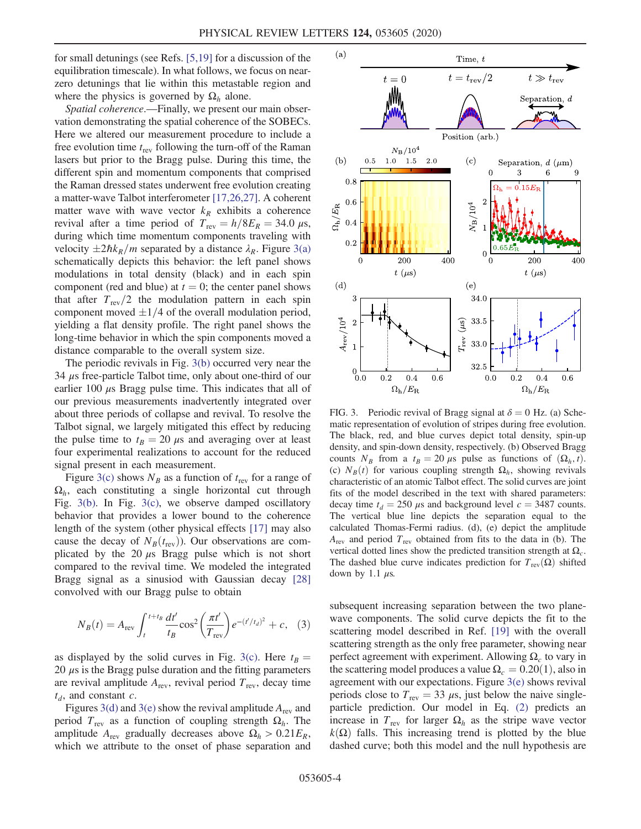for small detunings (see Refs. [\[5,19\]](#page-4-7) for a discussion of the equilibration timescale). In what follows, we focus on nearzero detunings that lie within this metastable region and where the physics is governed by  $\Omega_h$  alone.

Spatial coherence.—Finally, we present our main observation demonstrating the spatial coherence of the SOBECs. Here we altered our measurement procedure to include a free evolution time  $t_{\text{rev}}$  following the turn-off of the Raman lasers but prior to the Bragg pulse. During this time, the different spin and momentum components that comprised the Raman dressed states underwent free evolution creating a matter-wave Talbot interferometer [\[17,26,27\]](#page-4-14). A coherent matter wave with wave vector  $k_R$  exhibits a coherence revival after a time period of  $T_{\text{rev}} = h/8E_R = 34.0 \,\mu\text{s}$ , during which time momentum components traveling with velocity  $\pm 2\hbar k_R/m$  separated by a distance  $\lambda_R$ . Figure [3\(a\)](#page-3-0) schematically depicts this behavior: the left panel shows modulations in total density (black) and in each spin component (red and blue) at  $t = 0$ ; the center panel shows that after  $T_{\text{rev}}/2$  the modulation pattern in each spin component moved  $\pm 1/4$  of the overall modulation period, yielding a flat density profile. The right panel shows the long-time behavior in which the spin components moved a distance comparable to the overall system size.

The periodic revivals in Fig. [3\(b\)](#page-3-0) occurred very near the 34 μs free-particle Talbot time, only about one-third of our earlier 100  $\mu$ s Bragg pulse time. This indicates that all of our previous measurements inadvertently integrated over about three periods of collapse and revival. To resolve the Talbot signal, we largely mitigated this effect by reducing the pulse time to  $t_B = 20 \mu s$  and averaging over at least four experimental realizations to account for the reduced signal present in each measurement.

Figure [3\(c\)](#page-3-0) shows  $N_B$  as a function of  $t_{\text{rev}}$  for a range of  $\Omega_h$ , each constituting a single horizontal cut through Fig. [3\(b\)](#page-3-0). In Fig. [3\(c\),](#page-3-0) we observe damped oscillatory behavior that provides a lower bound to the coherence length of the system (other physical effects [\[17\]](#page-4-14) may also cause the decay of  $N_B(t_{\text{rev}})$ ). Our observations are complicated by the 20  $\mu$ s Bragg pulse which is not short compared to the revival time. We modeled the integrated Bragg signal as a sinusiod with Gaussian decay [\[28\]](#page-5-2) convolved with our Bragg pulse to obtain

$$
N_B(t) = A_{\text{rev}} \int_{t}^{t+t_B} \frac{dt'}{t_B} \cos^2 \left(\frac{\pi t'}{T_{\text{rev}}}\right) e^{-(t'/t_d)^2} + c, \quad (3)
$$

as displayed by the solid curves in Fig. [3\(c\)](#page-3-0). Here  $t_B =$ 20  $\mu$ s is the Bragg pulse duration and the fitting parameters are revival amplitude  $A_{\text{rev}}$ , revival period  $T_{\text{rev}}$ , decay time  $t_d$ , and constant c.

Figures [3\(d\)](#page-3-0) and [3\(e\)](#page-3-0) show the revival amplitude  $A_{\text{rev}}$  and period  $T_{\text{rev}}$  as a function of coupling strength  $\Omega_h$ . The amplitude  $A_{\text{rev}}$  gradually decreases above  $\Omega_h > 0.21 E_R$ , which we attribute to the onset of phase separation and

<span id="page-3-0"></span>

FIG. 3. Periodic revival of Bragg signal at  $\delta = 0$  Hz. (a) Schematic representation of evolution of stripes during free evolution. The black, red, and blue curves depict total density, spin-up density, and spin-down density, respectively. (b) Observed Bragg counts  $N_B$  from a  $t_B = 20 \mu s$  pulse as functions of  $(\Omega_h, t)$ . (c)  $N_B(t)$  for various coupling strength  $\Omega_h$ , showing revivals characteristic of an atomic Talbot effect. The solid curves are joint fits of the model described in the text with shared parameters: decay time  $t_d = 250 \mu s$  and background level  $c = 3487$  counts. The vertical blue line depicts the separation equal to the calculated Thomas-Fermi radius. (d), (e) depict the amplitude  $A_{\text{rev}}$  and period  $T_{\text{rev}}$  obtained from fits to the data in (b). The vertical dotted lines show the predicted transition strength at  $\Omega_c$ . The dashed blue curve indicates prediction for  $T_{rev}(\Omega)$  shifted down by 1.1  $\mu$ s.

subsequent increasing separation between the two planewave components. The solid curve depicts the fit to the scattering model described in Ref. [\[19\]](#page-4-13) with the overall scattering strength as the only free parameter, showing near perfect agreement with experiment. Allowing  $\Omega_c$  to vary in the scattering model produces a value  $\Omega_c = 0.20(1)$ , also in agreement with our expectations. Figure  $3(e)$  shows revival periods close to  $T_{\text{rev}} = 33 \mu s$ , just below the naive singleparticle prediction. Our model in Eq. [\(2\)](#page-1-1) predicts an increase in  $T_{\text{rev}}$  for larger  $\Omega_h$  as the stripe wave vector  $k(\Omega)$  falls. This increasing trend is plotted by the blue dashed curve; both this model and the null hypothesis are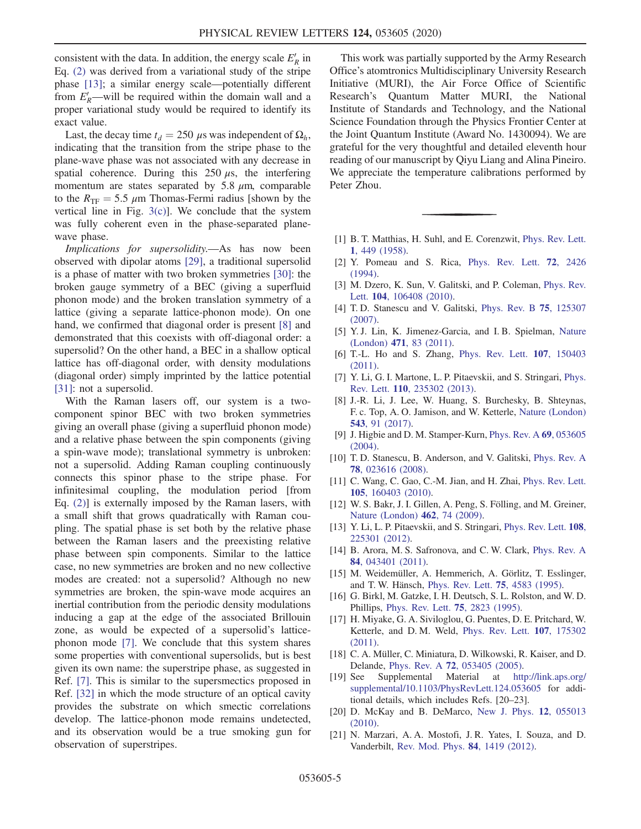consistent with the data. In addition, the energy scale  $E'_R$  in Eq. [\(2\)](#page-1-1) was derived from a variational study of the stripe phase [\[13\];](#page-4-15) a similar energy scale—potentially different from  $E_R$ —will be required within the domain wall and a proper variational study would be required to identify its exact value.

Last, the decay time  $t_d = 250 \mu s$  was independent of  $\Omega_h$ , indicating that the transition from the stripe phase to the plane-wave phase was not associated with any decrease in spatial coherence. During this  $250 \mu s$ , the interfering momentum are states separated by 5.8  $\mu$ m, comparable to the  $R_{\text{TF}} = 5.5 \ \mu \text{m}$  Thomas-Fermi radius [shown by the vertical line in Fig.  $3(c)$ ]. We conclude that the system was fully coherent even in the phase-separated planewave phase.

Implications for supersolidity.—As has now been observed with dipolar atoms [\[29\],](#page-5-3) a traditional supersolid is a phase of matter with two broken symmetries [\[30\]](#page-5-4): the broken gauge symmetry of a BEC (giving a superfluid phonon mode) and the broken translation symmetry of a lattice (giving a separate lattice-phonon mode). On one hand, we confirmed that diagonal order is present [\[8\]](#page-4-5) and demonstrated that this coexists with off-diagonal order: a supersolid? On the other hand, a BEC in a shallow optical lattice has off-diagonal order, with density modulations (diagonal order) simply imprinted by the lattice potential [\[31\]](#page-5-5): not a supersolid.

With the Raman lasers off, our system is a twocomponent spinor BEC with two broken symmetries giving an overall phase (giving a superfluid phonon mode) and a relative phase between the spin components (giving a spin-wave mode); translational symmetry is unbroken: not a supersolid. Adding Raman coupling continuously connects this spinor phase to the stripe phase. For infinitesimal coupling, the modulation period [from Eq. [\(2\)](#page-1-1)] is externally imposed by the Raman lasers, with a small shift that grows quadratically with Raman coupling. The spatial phase is set both by the relative phase between the Raman lasers and the preexisting relative phase between spin components. Similar to the lattice case, no new symmetries are broken and no new collective modes are created: not a supersolid? Although no new symmetries are broken, the spin-wave mode acquires an inertial contribution from the periodic density modulations inducing a gap at the edge of the associated Brillouin zone, as would be expected of a supersolid's latticephonon mode [\[7\]](#page-4-4). We conclude that this system shares some properties with conventional supersolids, but is best given its own name: the superstripe phase, as suggested in Ref. [\[7\]](#page-4-4). This is similar to the supersmectics proposed in Ref. [\[32\]](#page-5-6) in which the mode structure of an optical cavity provides the substrate on which smectic correlations develop. The lattice-phonon mode remains undetected, and its observation would be a true smoking gun for observation of superstripes.

This work was partially supported by the Army Research Office's atomtronics Multidisciplinary University Research Initiative (MURI), the Air Force Office of Scientific Research's Quantum Matter MURI, the National Institute of Standards and Technology, and the National Science Foundation through the Physics Frontier Center at the Joint Quantum Institute (Award No. 1430094). We are grateful for the very thoughtful and detailed eleventh hour reading of our manuscript by Qiyu Liang and Alina Pineiro. We appreciate the temperature calibrations performed by Peter Zhou.

- <span id="page-4-1"></span><span id="page-4-0"></span>[1] B. T. Matthias, H. Suhl, and E. Corenzwit, [Phys. Rev. Lett.](https://doi.org/10.1103/PhysRevLett.1.449) 1[, 449 \(1958\).](https://doi.org/10.1103/PhysRevLett.1.449)
- <span id="page-4-2"></span>[2] Y. Pomeau and S. Rica, [Phys. Rev. Lett.](https://doi.org/10.1103/PhysRevLett.72.2426) 72, 2426 [\(1994\).](https://doi.org/10.1103/PhysRevLett.72.2426)
- <span id="page-4-3"></span>[3] M. Dzero, K. Sun, V. Galitski, and P. Coleman, [Phys. Rev.](https://doi.org/10.1103/PhysRevLett.104.106408) Lett. 104[, 106408 \(2010\)](https://doi.org/10.1103/PhysRevLett.104.106408).
- <span id="page-4-7"></span>[4] T. D. Stanescu and V. Galitski, [Phys. Rev. B](https://doi.org/10.1103/PhysRevB.75.125307) 75, 125307 [\(2007\).](https://doi.org/10.1103/PhysRevB.75.125307)
- <span id="page-4-9"></span>[5] Y. J. Lin, K. Jimenez-Garcia, and I. B. Spielman, [Nature](https://doi.org/10.1038/nature09887) (London) 471[, 83 \(2011\).](https://doi.org/10.1038/nature09887)
- <span id="page-4-4"></span>[6] T.-L. Ho and S. Zhang, [Phys. Rev. Lett.](https://doi.org/10.1103/PhysRevLett.107.150403) 107, 150403 [\(2011\).](https://doi.org/10.1103/PhysRevLett.107.150403)
- <span id="page-4-5"></span>[7] Y. Li, G. I. Martone, L. P. Pitaevskii, and S. Stringari, [Phys.](https://doi.org/10.1103/PhysRevLett.110.235302) Rev. Lett. 110[, 235302 \(2013\).](https://doi.org/10.1103/PhysRevLett.110.235302)
- <span id="page-4-6"></span>[8] J.-R. Li, J. Lee, W. Huang, S. Burchesky, B. Shteynas, F. c. Top, A. O. Jamison, and W. Ketterle, [Nature \(London\)](https://doi.org/10.1038/nature21431) 543[, 91 \(2017\).](https://doi.org/10.1038/nature21431)
- [9] J. Higbie and D. M. Stamper-Kurn, [Phys. Rev. A](https://doi.org/10.1103/PhysRevA.69.053605) 69, 053605 [\(2004\).](https://doi.org/10.1103/PhysRevA.69.053605)
- [10] T. D. Stanescu, B. Anderson, and V. Galitski, [Phys. Rev. A](https://doi.org/10.1103/PhysRevA.78.023616) 78[, 023616 \(2008\).](https://doi.org/10.1103/PhysRevA.78.023616)
- <span id="page-4-8"></span>[11] C. Wang, C. Gao, C.-M. Jian, and H. Zhai, [Phys. Rev. Lett.](https://doi.org/10.1103/PhysRevLett.105.160403) 105[, 160403 \(2010\).](https://doi.org/10.1103/PhysRevLett.105.160403)
- <span id="page-4-15"></span>[12] W. S. Bakr, J. I. Gillen, A. Peng, S. Fölling, and M. Greiner, [Nature \(London\)](https://doi.org/10.1038/nature08482) 462, 74 (2009).
- <span id="page-4-10"></span>[13] Y. Li, L. P. Pitaevskii, and S. Stringari, [Phys. Rev. Lett.](https://doi.org/10.1103/PhysRevLett.108.225301) 108, [225301 \(2012\).](https://doi.org/10.1103/PhysRevLett.108.225301)
- <span id="page-4-11"></span>[14] B. Arora, M. S. Safronova, and C. W. Clark, [Phys. Rev. A](https://doi.org/10.1103/PhysRevA.84.043401) 84[, 043401 \(2011\).](https://doi.org/10.1103/PhysRevA.84.043401)
- [15] M. Weidemüller, A. Hemmerich, A. Görlitz, T. Esslinger, and T. W. Hänsch, [Phys. Rev. Lett.](https://doi.org/10.1103/PhysRevLett.75.4583) 75, 4583 (1995).
- <span id="page-4-14"></span>[16] G. Birkl, M. Gatzke, I. H. Deutsch, S. L. Rolston, and W. D. Phillips, [Phys. Rev. Lett.](https://doi.org/10.1103/PhysRevLett.75.2823) 75, 2823 (1995).
- <span id="page-4-12"></span>[17] H. Miyake, G. A. Siviloglou, G. Puentes, D. E. Pritchard, W. Ketterle, and D. M. Weld, [Phys. Rev. Lett.](https://doi.org/10.1103/PhysRevLett.107.175302) 107, 175302 [\(2011\).](https://doi.org/10.1103/PhysRevLett.107.175302)
- <span id="page-4-13"></span>[18] C. A. Müller, C. Miniatura, D. Wilkowski, R. Kaiser, and D. Delande, Phys. Rev. A 72[, 053405 \(2005\).](https://doi.org/10.1103/PhysRevA.72.053405)
- [19] See Supplemental Material at [http://link.aps.org/](http://link.aps.org/supplemental/10.1103/PhysRevLett.124.053605) [supplemental/10.1103/PhysRevLett.124.053605](http://link.aps.org/supplemental/10.1103/PhysRevLett.124.053605) for additional details, which includes Refs. [20–23].
- [20] D. McKay and B. DeMarco, [New J. Phys.](https://doi.org/10.1088/1367-2630/12/5/055013) 12, 055013 [\(2010\).](https://doi.org/10.1088/1367-2630/12/5/055013)
- [21] N. Marzari, A. A. Mostofi, J. R. Yates, I. Souza, and D. Vanderbilt, [Rev. Mod. Phys.](https://doi.org/10.1103/RevModPhys.84.1419) 84, 1419 (2012).